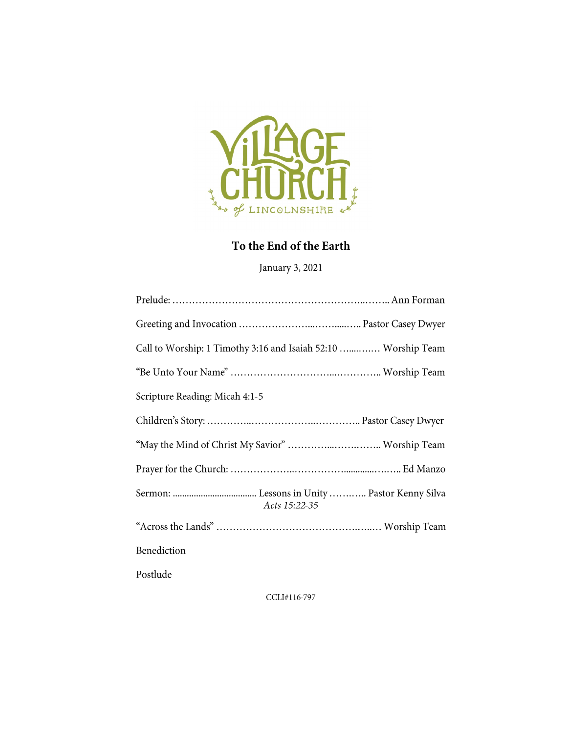

# To the End of the Earth

January 3, 2021

| Call to Worship: 1 Timothy 3:16 and Isaiah 52:10  Worship Team |
|----------------------------------------------------------------|
|                                                                |
| Scripture Reading: Micah 4:1-5                                 |
|                                                                |
| "May the Mind of Christ My Savior"  Worship Team               |
|                                                                |
| Acts 15:22-35                                                  |
|                                                                |
| Benediction                                                    |
| Postlude                                                       |

CCLI#116-797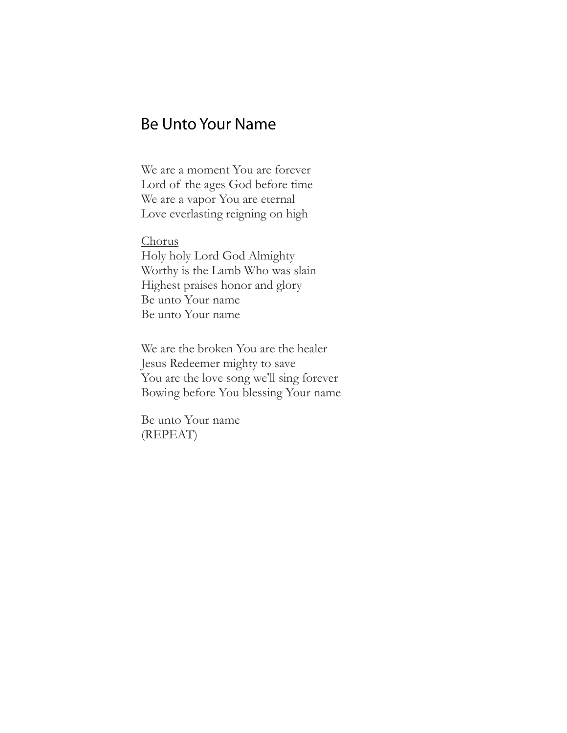### **Be Unto Your Name**

We are a moment You are forever Lord of the ages God before time We are a vapor You are eternal Love everlasting reigning on high

Chorus Holy holy Lord God Almighty Worthy is the Lamb Who was slain Highest praises honor and glory Be unto Your name Be unto Your name

We are the broken You are the healer Jesus Redeemer mighty to save You are the love song we'll sing forever Bowing before You blessing Your name

Be unto Your name (REPEAT)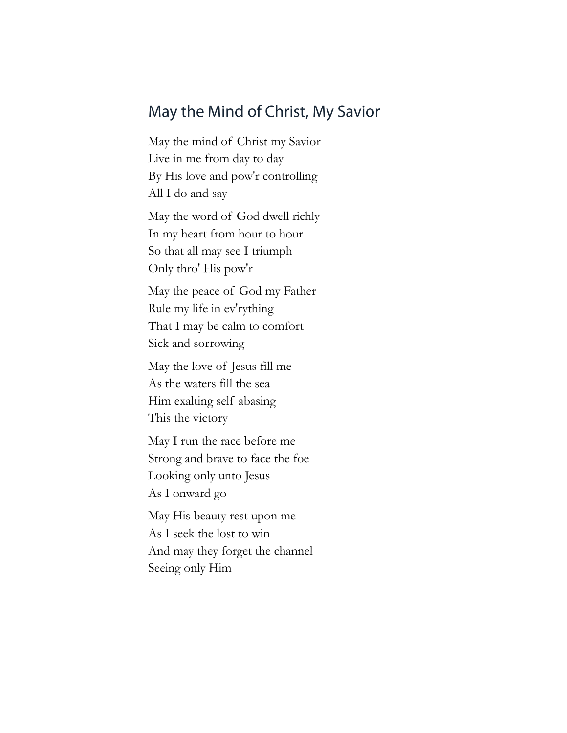# May the Mind of Christ, My Savior

May the mind of Christ my Savior Live in me from day to day By His love and pow'r controlling All I do and say

May the word of God dwell richly In my heart from hour to hour So that all may see I triumph Only thro' His pow'r

May the peace of God my Father Rule my life in ev'rything That I may be calm to comfort Sick and sorrowing

May the love of Jesus fill me As the waters fill the sea Him exalting self abasing This the victory

May I run the race before me Strong and brave to face the foe Looking only unto Jesus As I onward go

May His beauty rest upon me As I seek the lost to win And may they forget the channel Seeing only Him